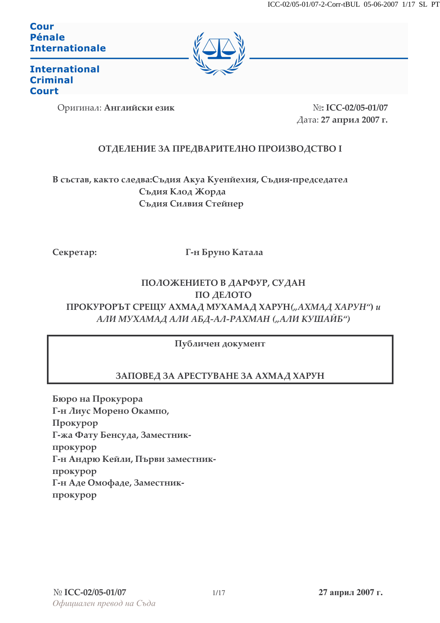**Cour** Pénale **Internationale** 



**International Criminal Court** 

Оригинал: Английски език

N<sub>o</sub>: ICC-02/05-01/07 Дата: 27 април 2007 г.

# ОТДЕЛЕНИЕ ЗА ПРЕДВАРИТЕЛНО ПРОИЗВОДСТВО І

В състав, както следва: Съдия Акуа Куенйехия, Съдия-председател Съдия Клод Жорда Съдия Силвия Стейнер

Секретар:

Г-н Бруно Катала

# ПОЛОЖЕНИЕТО В ДАРФУР, СУДАН ПО ДЕЛОТО ПРОКУРОРЪТ СРЕЩУ АХМАД МУХАМАД ХАРУН("АХМАД ХАРУН") и АЛИ МУХАМАД АЛИ АБД-АЛ-РАХМАН ("АЛИ КУШАЙБ")

Публичен документ

# ЗАПОВЕД ЗА АРЕСТУВАНЕ ЗА АХМАД ХАРУН

Бюро на Прокурора Г-н Лиус Морено Окампо, Прокурор Г-жа Фату Бенсуда, Заместникпрокурор Г-н Андрю Кейли, Първи заместникпрокурор Г-н Аде Омофаде, Заместникпрокурор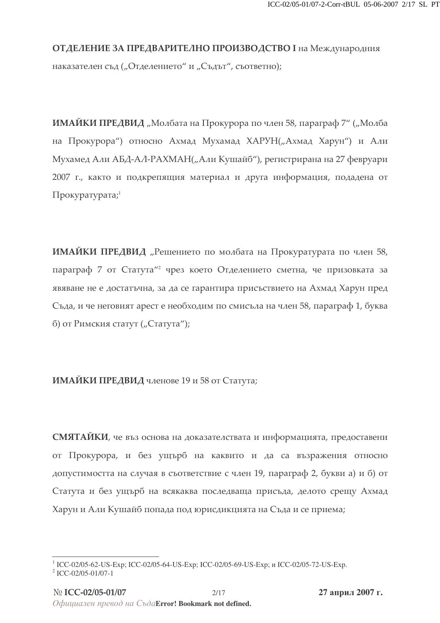# ОТДЕЛЕНИЕ ЗА ПРЕДВАРИТЕЛНО ПРОИЗВОДСТВО I на Международния наказателен съд ("Отделението" и "Съдът", съответно);

**ИМАЙКИ ПРЕДВИД** "Молбата на Прокурора по член 58, параграф 7" ("Молба на Прокурора") относно Ахмад Мухамад ХАРУН("Ахмад Харун") и Али Мухамед Али АБД-АЛ-РАХМАН("Али Кушайб"), регистрирана на 27 февруари 2007 г., както и подкрепящия материал и друга информация, подадена от  $\Pi$ рокуратурата; $^1$ 

**ИМАЙКИ ПРЕДВИД** "Решението по молбата на Прокуратурата по член 58, параграф 7 от Статута"<sup>2</sup> чрез което Отде*л*ението сметна, че призовката за явяване не е достатъчна, за да се гарантира присъствието на Ахмад Харун пред Съда, и че неговият арест е необходим по смисъла на член 58, параграф 1, буква б) от Римския статут ("Статута");

ИМАЙКИ ПРЕДВИД членове 19 и 58 от Статута;

СМЯТАЙКИ, че въз основа на доказателствата и информацията, предоставени от Прокурора, и без ущърб на каквито и да са възражения относно допустимостта на случая в съответствие с член 19, параграф 2, букви а) и б) от Статута и без ущърб на всякаква последваща присъда, делото срещу Ахмад Харун и Али Кушайб попада под юрисдикцията на Съда и се приема;

<sup>&</sup>lt;sup>1</sup> ICC-02/05-62-US-Exp; ICC-02/05-64-US-Exp; ICC-02/05-69-US-Exp; и ICC-02/05-72-US-Exp.

<sup>2</sup> ICC-02/05-01/07-1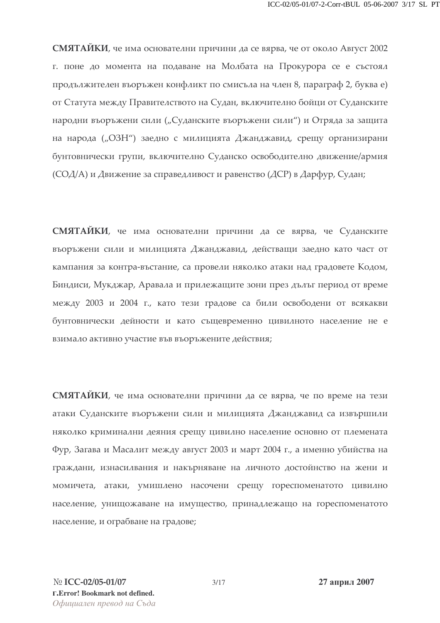СМЯТАЙКИ, че има основателни причини да се вярва, че от около Август 2002 г. поне до момента на подаване на Молбата на Прокурора се е състоял продължителен въоръжен конфликт по смисъла на член 8, параграф 2, буква е) от Статута между Правителството на Судан, включително бойци от Суданските народни въоръжени сили ("Суданските въоръжени сили") и Отряда за защита на народа ("ОЗН") заедно с милицията Джанджавид, срещу организирани бунтовнически групи, включително Суданско освободително движение/армия (СОД/А) и Движение за справедливост и равенство (ДСР) в Дарфур, Судан;

СМЯТАЙКИ, че има основателни причини да се вярва, че Суданските въоръжени сили и милицията Джанджавид, действащи заедно като част от кампания за контра-въстание, са провели няколко атаки над градовете Кодом, Биндиси, Мукджар, Аравала и прилежащите зони през дълът период от време между 2003 и 2004 г., като тези градове са били освободени от всякакви бунтовнически дейности и като същевременно цивилното население не е взимало активно участие във въоръжените действия;

СМЯТАЙКИ, че има основателни причини да се вярва, че по време на тези атаки Суданските въоръжени сили и милицията Джанджавид са извършили няколко криминални деяния срещу цивилно население основно от племената Фур, Загава и Масалит между август 2003 и март 2004 г., а именно убийства на граждани, изнасилвания и накърняване на личното достойнство на жени и момичета, атаки, умишлено насочени срещу гореспоменатото цивилно население, унищожаване на имущество, принадлежащо на гореспоменатото население, и ограбване на градове;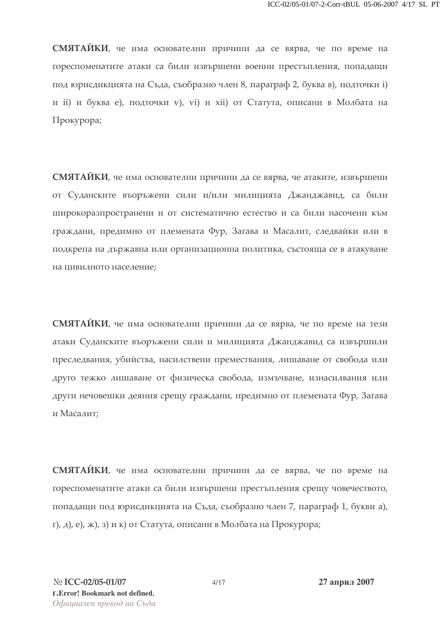СМЯТАЙКИ, че има основателни причини да се вярва, че по време на гореспоменатите атаки са били извършени военни престъпления, попадащи под юрисдикцията на Съда, съобразно член 8, параграф 2, буква в), подточки i) и ii) и буква e), подточки v), vi) и xii) от Статута, описани в Молбата на Прокурора;

СМЯТАЙКИ, че има основателни причини да се вярва, че атаките, извършени от Суданските въоръжени сили и/или милицията Джанджавид, са били широкоразпространени и от систематично естество и са били насочени към граждани, предимно от племената Фур, Загава и Масалит, следвайки или в подкрепа на държавна или организационна политика, състояща се в атакуване на цивилното население;

СМЯТАИКИ, че има основателни причини да се вярва, че по време на тези атаки Суданските въоръжени сили и милицията Джанджавид са извършили преследвания, убийства, насилствени премествания, лишаване от свобода или друго тежко лишаване от физическа свобода, измъчване, изнасилвания или други нечовешки деяния срещу граждани, предимно от племената Фур, Загава и Масалит;

СМЯТАЙКИ, че има основателни причини да се вярва, че по време на гореспоменатите атаки са били извършени престъпления срещу човечеството, попадащи под юрисдикцията на Съда, съобразно член 7, параграф 1, букви а),  $r$ ), д), е), ж), з) и к) от Статута, описани в Молбата на Прокурора;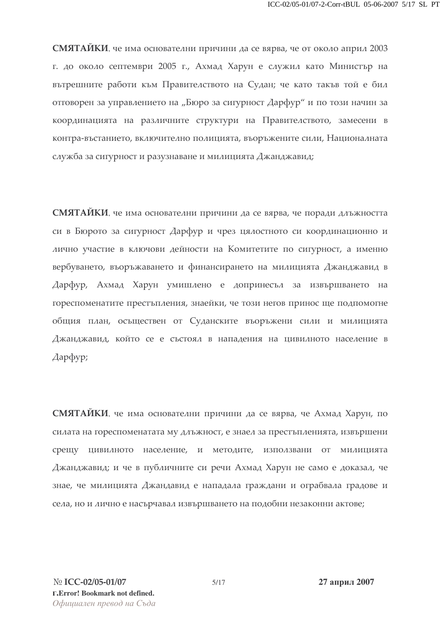СМЯТАЙКИ, че има основателни причини да се вярва, че от около април 2003 г. до около септември 2005 г., Ахмад Харун е служил като Министър на вътрешните работи към Правителството на Судан; че като такъв той е бил отговорен за управлението на "Бюро за сигурност Дарфур" и по този начин за координацията на различните структури на Правителството, замесени в контра-въстанието, включително полицията, въоръжените сили, Националната служба за сигурност и разузнаване и милицията Джанджавид;

СМЯТАЙКИ, че има основателни причини да се вярва, че поради длъжността си в Бюрото за сигурност Дарфур и чрез цялостното си координационно и лично участие в ключови дейности на Комитетите по сигурност, а именно вербуването, въоръжаването и финансирането на милицията Джанджавид в Дарфур, Ахмад Харун умишлено е допринесъл за извършването на гореспоменатите престъпления, знаейки, че този негов принос ще подпомогне общия план, осъществен от Суданските въоръжени сили и милицията Джанджавид, който се е състоял в нападения на цивилното население в Дарфур;

СМЯТАИКИ, че има основателни причини да се вярва, че Ахмад Харун, по силата на гореспоменатата му длъжност, е знаел за престъпленията, извършени срещу цивилното население, и методите, използвани от милицията Джанджавид; и че в публичните си речи Ахмад Харун не само е доказал, че знае, че милицията Джандавид е нападала граждани и ограбвала градове и села, но и лично е насърчавал извършването на подобни незаконни актове;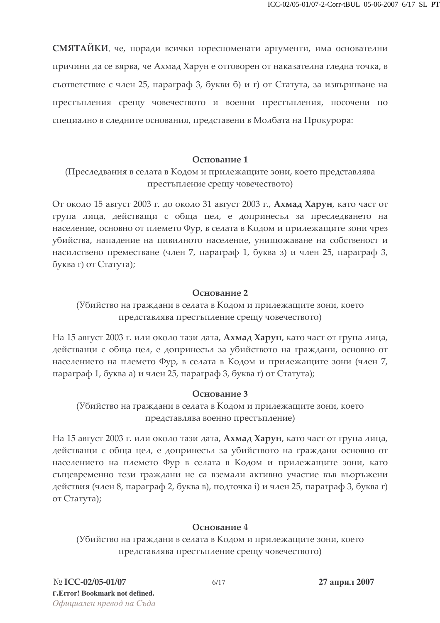СМЯТАЙКИ, че, поради всички гореспоменати аргументи, има основателни причини да се вярва, че Ахмад Харун е отговорен от наказателна гледна точка, в съответствие с член 25, параграф 3, букви б) и г) от Статута, за извършване на престъпления срещу човечеството и военни престъпления, посочени по специално в следните основания, представени в Молбата на Прокурора:

#### Основание 1

(Преследвания в селата в Кодом и прилежащите зони, което представлява престъпление срещу човечеството)

От около 15 август 2003 г. до около 31 август 2003 г., Ахмад Харун, като част от група лица, действащи с обща цел, е допринесъл за преследването на население, основно от племето Фур, в селата в Кодом и прилежащите зони чрез убийства, нападение на цивилното население, унищожаване на собственост и насилствено преместване (член 7, параграф 1, буква з) и член 25, параграф 3, буква г) от Статута);

#### Основание 2

(Убийство на граждани в селата в Кодом и прилежащите зони, което представлява престъпление срещу човечеството)

На 15 август 2003 г. или около тази дата, **Ахмад Харун**, като част от група лица, действащи с обща цел, е допринесъл за убийството на граждани, основно от населението на племето Фур, в селата в Кодом и прилежащите зони (член 7, параграф 1, буква а) и член 25, параграф 3, буква г) от Статута);

## Основание 3

(Убийство на граждани в селата в Кодом и прилежащите зони, което представлява военно престъпление)

На 15 август 2003 г. или около тази дата, Ахмад Харун, като част от група лица, действащи с обща цел, е допринесъл за убийството на граждани основно от населението на племето Фур в селата в Кодом и прилежащите зони, като същевременно тези граждани не са вземали активно участие във въоръжени действия (член 8, параграф 2, буква в), подточка i) и член 25, параграф 3, буква г) от Статута);

## Основание 4

(Убийство на граждани в селата в Кодом и прилежащите зони, което представлява престъпление срещу човечеството)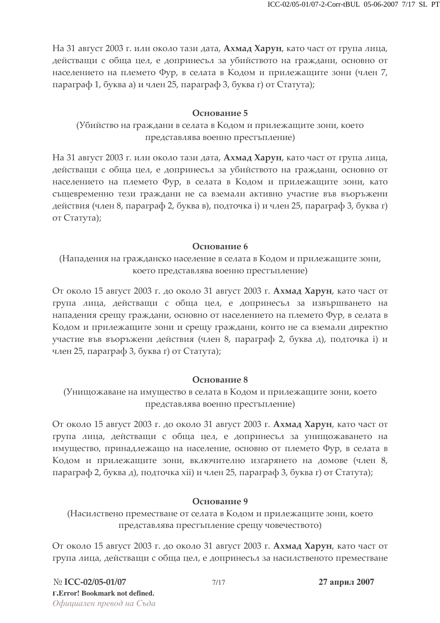На 31 август 2003 г. или около тази дата, Ахмад Харун, като част от група лица, действащи с обща цел, е допринесъл за убийството на граждани, основно от населението на племето Фур, в селата в Кодом и прилежащите зони (член 7, параграф 1, буква а) и член 25, параграф 3, буква г) от Статута);

## Основание 5

(Убийство на граждани в селата в Кодом и прилежащите зони, което представлява военно престъпление)

На 31 август 2003 г. или около тази дата, Ахмад Харун, като част от група лица, действащи с обща цел, е допринесъл за убийството на граждани, основно от населението на племето Фур, в селата в Кодом и прилежащите зони, като същевременно тези граждани не са вземали активно участие във въоръжени действия (член 8, параграф 2, буква в), подточка i) и член 25, параграф 3, буква г) от Статута);

## Основание 6

(Нападения на гражданско население в селата в Кодом и прилежащите зони, което представлява военно престъпление)

От около 15 август 2003 г. до около 31 август 2003 г. Ахмад Харун, като част от група лица, действащи с обща цел, е допринесъл за извършването на нападения срещу граждани, основно от населението на племето Фур, в селата в Кодом и прилежащите зони и срещу граждани, които не са вземали директно участие във въоръжени действия (член 8, параграф 2, буква д), подточка i) и член 25, параграф 3, буква г) от Статута);

## Основание 8

(Унищожаване на имущество в селата в Кодом и прилежащите зони, което представлява военно престъпление)

От около 15 август 2003 г. до около 31 август 2003 г. Ахмад Харун, като част от група лица, действащи с обща цел, е допринесъл за унищожаването на имущество, принадлежащо на население, основно от племето Фур, в селата в Кодом и прилежащите зони, включително изгарянето на домове (член 8, параграф 2, буква д), подточка хіі) и член 25, параграф 3, буква г) от Статута);

# Основание 9

(Насилствено преместване от селата в Кодом и прилежащите зони, което представлява престъпление срещу човечеството)

От около 15 август 2003 г. до около 31 август 2003 г. Ахмад Харун, като част от група лица, действащи с обща цел, е допринесъл за насилственото преместване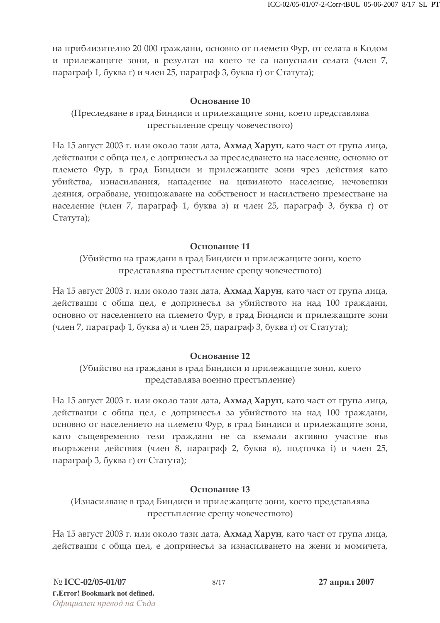на приблизително 20 000 граждани, основно от племето Фур, от селата в Кодом и прилежащите зони, в резултат на което те са напуснали селата (член 7, параграф 1, буква г) и член 25, параграф 3, буква г) от Статута);

## Основание 10

## (Преследване в град Биндиси и прилежащите зони, което представлява престъпление срещу човечеството)

На 15 август 2003 г. или около тази дата, Ахмад Харун, като част от група лица, действащи с обща цел, е допринесъл за преследването на население, основно от племето Фур, в град Биндиси и прилежащите зони чрез действия като убийства, изнасилвания, нападение на цивилното население, нечовешки деяния, ограбване, унищожаване на собственост и насилствено преместване на население (член 7, параграф 1, буква з) и член 25, параграф 3, буква г) от Статута);

## Основание 11

## (Убийство на граждани в град Биндиси и прилежащите зони, което представлява престъпление срещу човечеството)

На 15 август 2003 г. или около тази дата, Ахмад Харун, като част от група лица, действащи с обща цел, е допринесъл за убийството на над 100 граждани, основно от населението на племето Фур, в град Биндиси и прилежащите зони (член 7, параграф 1, буква а) и член 25, параграф 3, буква г) от Статута);

## Основание 12

# (Убийство на граждани в град Биндиси и прилежащите зони, което представлява военно престъпление)

На 15 август 2003 г. или около тази дата, Ахмад Харун, като част от група лица, действащи с обща цел, е допринесъл за убийството на над 100 граждани, основно от населението на племето Фур, в град Биндиси и прилежащите зони, като същевременно тези граждани не са вземали активно участие във въоръжени действия (член 8, параграф 2, буква в), подточка i) и член 25, параграф 3, буква г) от Статута);

## Основание 13

## (Изнасилване в град Биндиси и прилежащите зони, което представлява престъпление срещу човечеството)

На 15 август 2003 г. или около тази дата, Ахмад Харун, като част от група лица, действащи с обща цел, е допринесъл за изнасилването на жени и момичета,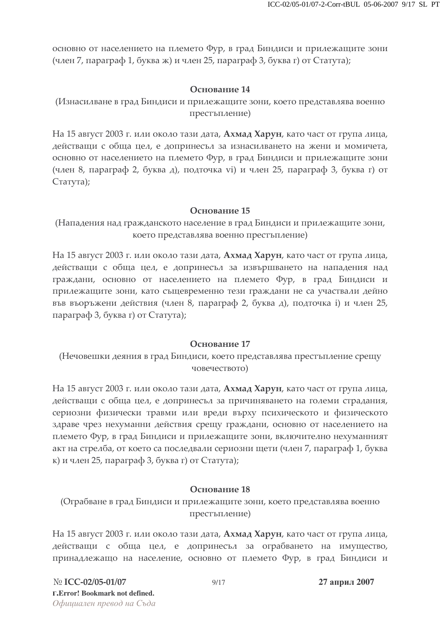основно от населението на племето Фур, в град Биндиси и прилежащите зони (член 7, параграф 1, буква ж) и член 25, параграф 3, буква г) от Статута);

## Основание 14

(Изнасилване в град Биндиси и прилежащите зони, което представлява военно престъпление)

На 15 август 2003 г. или около тази дата, Ахмад Харун, като част от група лица, действащи с обща цел, е допринесъл за изнасилването на жени и момичета, основно от населението на племето Фур, в град Биндиси и прилежащите зони (член 8, параграф 2, буква д), подточка vi) и член 25, параграф 3, буква г) от Статута);

#### Основание 15

(Нападения над гражданското население в град Биндиси и прилежащите зони, което представлява военно престъпление)

На 15 август 2003 г. или около тази дата, Ахмад Харун, като част от група лица, действащи с обща цел, е допринесъл за извършването на нападения над граждани, основно от населението на племето Фур, в град Биндиси и прилежащите зони, като същевременно тези граждани не са участвали дейно във въоръжени действия (член 8, параграф 2, буква д), подточка i) и член 25, параграф 3, буква г) от Статута);

## Основание 17

(Нечовешки деяния в град Биндиси, което представлява престъпление срещу човечеството)

На 15 август 2003 г. или около тази дата, Ахмад Харун, като част от група лица, действащи с обща цел, е допринесъл за причиняването на големи страдания, сериозни физически травми или вреди върху психическото и физическото здраве чрез нехуманни действия срещу граждани, основно от населението на племето Фур, в град Биндиси и прилежащите зони, включително нехуманният акт на стрелба, от което са последвали сериозни щети (член 7, параграф 1, буква к) и член 25, параграф 3, буква г) от Статута);

## Основание 18

(Ограбване в град Биндиси и прилежащите зони, което представлява военно престъпление)

На 15 август 2003 г. или около тази дата, Ахмад Харун, като част от група лица, действащи с обща цел, е допринесъл за ограбването на имущество, принадлежащо на население, основно от племето Фур, в град Биндиси и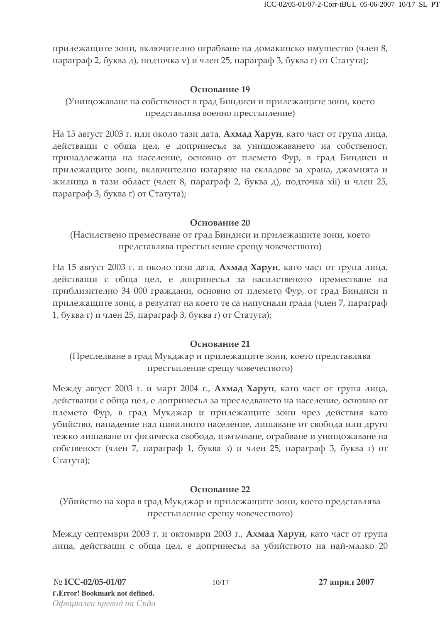прилежащите зони, включително ограбване на домакинско имущество (член 8, параграф 2, буква д), подточка у) и член 25, параграф 3, буква г) от Статута);

## Основание 19

(Унищожаване на собственост в град Биндиси и прилежащите зони, което представлява военно престъпление)

На 15 август 2003 г. или около тази дата, Ахмад Харун, като част от група лица, действащи с обща цел, е допринесъл за унищожаването на собственост, принадлежаща на население, основно от племето Фур, в град Биндиси и прилежащите зони, включително изгаряне на складове за храна, джамията и жилища в тази област (член 8, параграф 2, буква д), подточка хіі) и член 25, параграф 3, буква г) от Статута);

#### Основание 20

(Насилствено преместване от град Биндиси и прилежащите зони, което представлява престъпление срещу човечеството)

На 15 август 2003 г. и около тази дата, Ахмад Харун, като част от група лица, действащи с обща цел, е допринесъл за насилственото преместване на приблизително 34 000 граждани, основно от племето Фур, от град Биндиси и прилежащите зони, в резултат на което те са напуснали града (член 7, параграф 1, буква г) и член 25, параграф 3, буква г) от Статута);

## Основание 21

(Преследване в град Мукджар и прилежащите зони, което представлява престъпление срещу човечеството)

Между август 2003 г. и март 2004 г., Ахмад Харун, като част от група лица, действащи с обща цел, е допринесъл за преследването на население, основно от племето Фур, в град Мукджар и прилежащите зони чрез действия като убийство, нападение над цивилното население, лишаване от свобода или друго тежко лишаване от физическа свобода, измъчване, ограбване и унищожаване на собственост (член 7, параграф 1, буква з) и член 25, параграф 3, буква г) от Статута);

## Основание 22

(Убийство на хора в град Мукджар и прилежащите зони, което представлява престъпление срещу човечеството)

Между септември 2003 г. и октомври 2003 г., Ахмад Харун, като част от група лица, действащи с обща цел, е допринесъл за убийството на най-малко 20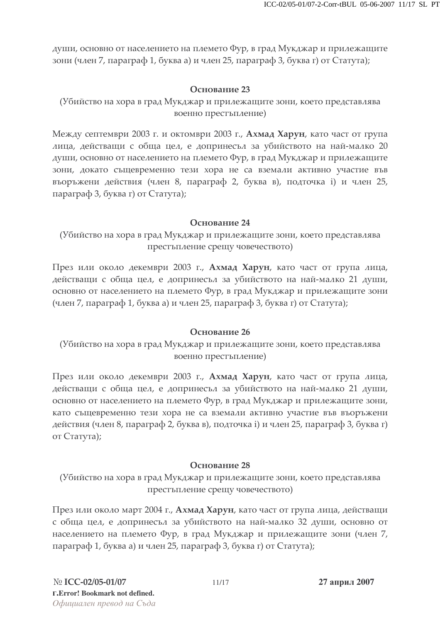души, основно от населението на племето Фур, в град Мукджар и прилежащите зони (член 7, параграф 1, буква а) и член 25, параграф 3, буква г) от Статута);

## Основание 23

(Убийство на хора в град Мукджар и прилежащите зони, което представлява военно престъпление)

Между септември 2003 г. и октомври 2003 г., Ахмад Харун, като част от група лица, действащи с обща цел, е допринесъл за убийството на най-малко 20 души, основно от населението на племето Фур, в град Мукджар и прилежащите зони, докато същевременно тези хора не са вземали активно участие във въоръжени действия (член 8, параграф 2, буква в), подточка i) и член 25, параграф 3, буква г) от Статута);

#### Основание 24

(Убийство на хора в град Мукджар и прилежащите зони, което представлява престъпление срещу човечеството)

През или около декември 2003 г., Ахмад Харун, като част от група лица, действащи с обща цел, е допринесъл за убийството на най-малко 21 души, основно от населението на племето Фур, в град Мукджар и прилежащите зони (член 7, параграф 1, буква а) и член 25, параграф 3, буква г) от Статута);

## Основание 26

(Убийство на хора в град Мукджар и прилежащите зони, което представлява военно престъпление)

През или около декември 2003 г., Ахмад Харун, като част от група лица, действащи с обща цел, е допринесъл за убийството на най-малко 21 души, основно от населението на племето Фур, в град Мукджар и прилежащите зони, като същевременно тези хора не са вземали активно участие във въоръжени действия (член 8, параграф 2, буква в), подточка i) и член 25, параграф 3, буква г) от Статута);

## Основание 28

(Убийство на хора в град Мукджар и прилежащите зони, което представлява престъпление срещу човечеството)

През или около март 2004 г., Ахмад Харун, като част от група лица, действащи с обща цел, е допринесьл за убийството на най-малко 32 души, основно от населението на племето Фур, в град Мукджар и прилежащите зони (член 7,  $\pi$ параграф 1, буква а) и член 25, параграф 3, буква г) от Статута);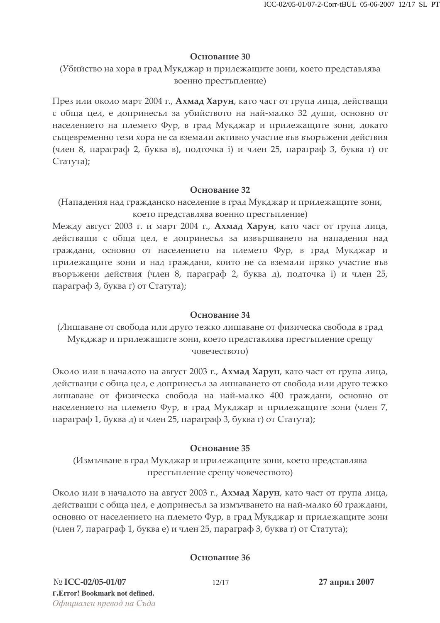#### Основание 30

(Убийство на хора в град Мукджар и прилежащите зони, което представлява военно престъпление)

През или около март 2004 г., Ахмад Харун, като част от група лица, действащи с обща цел, е допринесьл за убийството на най-малко 32 души, основно от населението на племето Фур, в град Мукджар и прилежащите зони, докато същевременно тези хора не са вземали активно участие във въоръжени действия (член 8, параграф 2, буква в), подточка i) и член 25, параграф 3, буква г) от Статута);

#### Основание 32

(Нападения над гражданско население в град Мукджар и прилежащите зони, което представлява военно престъпление)

Между август 2003 г. и март 2004 г., Ахмад Харун, като част от група лица, действащи с обща цел, е допринесъл за извършването на нападения над граждани, основно от населението на племето Фур, в град Мукджар и прилежащите зони и над граждани, които не са вземали пряко участие във въоръжени действия (член 8, параграф 2, буква д), подточка i) и член 25, параграф 3, буква г) от Статута);

### Основание 34

(Лишаване от свобода или друго тежко лишаване от физическа свобода в град Мукджар и прилежащите зони, което представлява престъпление срещу човечеството)

Около или в началото на август 2003 г., Ахмад Харун, като част от група лица, действащи с обща цел, е допринесъл за лишаването от свобода или друго тежко лишаване от физическа свобода на най-малко 400 граждани, основно от населението на племето Фур, в град Мукджар и прилежащите зони (член 7,  $\pi$ параграф 1, буква д) и член 25, параграф 3, буква г) от Статута);

## Основание 35

(Измъчване в град Мукджар и прилежащите зони, което представлява престъпление срещу човечеството)

Около или в началото на август 2003 г., Ахмад Харун, като част от група лица, действащи с обща цел, е допринесъл за измъчването на най-малко 60 граждани, основно от населението на племето Фур, в град Мукджар и прилежащите зони (член 7, параграф 1, буква е) и член 25, параграф 3, буква г) от Статута);

## Основание 36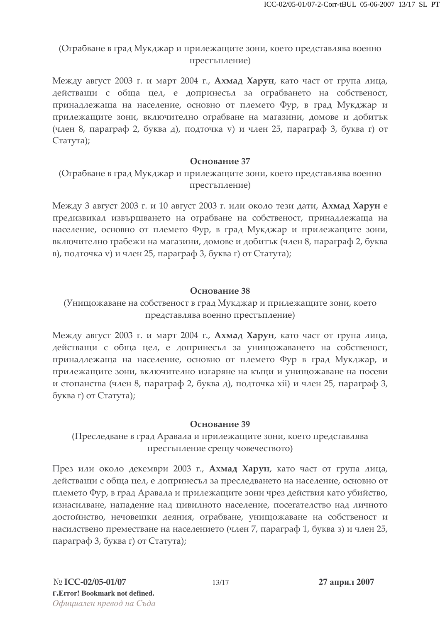## (Ограбване в град Мукджар и прилежащите зони, което представлява военно престъпление)

Между август 2003 г. и март 2004 г., **Ахмад Харун**, като част от група лица, действащи с обща цел, е допринесъл за ограбването на собственост, принадлежаща на население, основно от племето Фур, в град Мукджар и прилежащите зони, включително ограбване на магазини, домове и добитък (член 8, параграф 2, буква д), подточка v) и член 25, параграф 3, буква г) от Статута);

### Основание 37

## (Ограбване в град Мукджар и прилежащите зони, което представлява военно престъпление)

Между 3 август 2003 г. и 10 август 2003 г. или около тези дати, Ахмад Харун е предизвикал извършването на ограбване на собственост, принадлежаща на население, основно от племето Фур, в град Мукджар и прилежащите зони, включително грабежи на магазини, домове и добитък (член 8, параграф 2, буква в), подточка v) и член 25, параграф 3, буква г) от Статута);

#### Основание 38

## (Унищожаване на собственост в град Мукджар и прилежащите зони, което представлява военно престъпление)

Между август 2003 г. и март 2004 г., Ахмад Харун, като част от група лица, действащи с обща цел, е допринесъл за унищожаването на собственост, принадлежаща на население, основно от племето Фур в град Мукджар, и прилежащите зони, включително изгаряне на къщи и унищожаване на посеви и стопанства (член 8, параграф 2, буква д), подточка хіі) и член 25, параграф 3, буква г) от Статута);

## Основание 39

## (Преследване в град Аравала и прилежащите зони, което представлява престъпление срещу човечеството)

През или около декември 2003 г., Ахмад Харун, като част от група лица, действащи с обща цел, е допринесъл за преследването на население, основно от племето Фур, в град Аравала и прилежащите зони чрез действия като убийство, изнасилване, нападение над цивилното население, посегателство над личното достойнство, нечовешки деяния, ограбване, унищожаване на собственост и насилствено преместване на населението (член 7, параграф 1, буква з) и член 25, параграф 3, буква г) от Статута);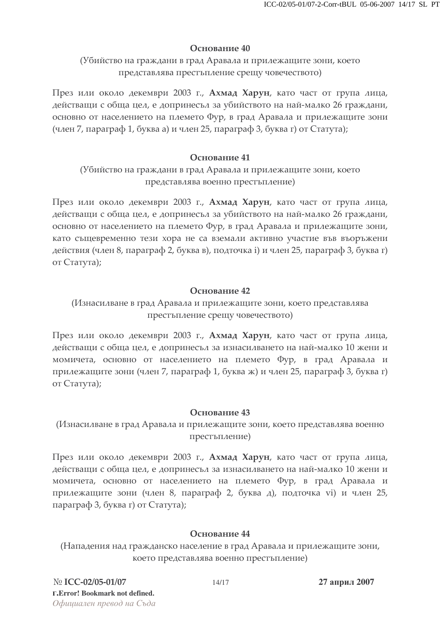## Основание 40

(Убийство на граждани в град Аравала и прилежащите зони, което представлява престъпление срещу човечеството)

През или около декември 2003 г., Ахмад Харун, като част от група лица, действащи с обща цел, е допринесъл за убийството на най-малко 26 граждани, основно от населението на племето Фур, в град Аравала и прилежащите зони (член 7, параграф 1, буква а) и член 25, параграф 3, буква г) от Статута);

## Основание 41

# (Убийство на граждани в град Аравала и прилежащите зони, което представлява военно престъпление)

През или около декември 2003 г., Ахмад Харун, като част от група лица, действащи с обща цел, е допринесъл за убийството на най-малко 26 граждани, основно от населението на племето Фур, в град Аравала и прилежащите зони, като същевременно тези хора не са вземали активно участие във въоръжени действия (член 8, параграф 2, буква в), подточка i) и член 25, параграф 3, буква г) от Статута);

## Основание 42

## (Изнасилване в град Аравала и прилежащите зони, което представлява престыпление срещу човечеството)

През или около декември 2003 г., Ахмад Харун, като част от група лица, действащи с обща цел, е допринесъл за изнасилването на най-малко 10 жени и момичета, основно от населението на племето Фур, в град Аравала и прилежащите зони (член 7, параграф 1, буква ж) и член 25, параграф 3, буква г) от Статута);

## Основание 43

# (Изнасилване в град Аравала и прилежащите зони, което представлява военно престъпление)

През или около декември 2003 г., Ахмад Харун, като част от група лица, действащи с обща цел, е допринесъл за изнасилването на най-малко 10 жени и момичета, основно от населението на племето Фур, в град Аравала и прилежащите зони (член 8, параграф 2, буква д), подточка vi) и член 25, параграф 3, буква г) от Статута);

## Основание 44

(Нападения над гражданско население в град Аравала и прилежащите зони, което представлява военно престъпление)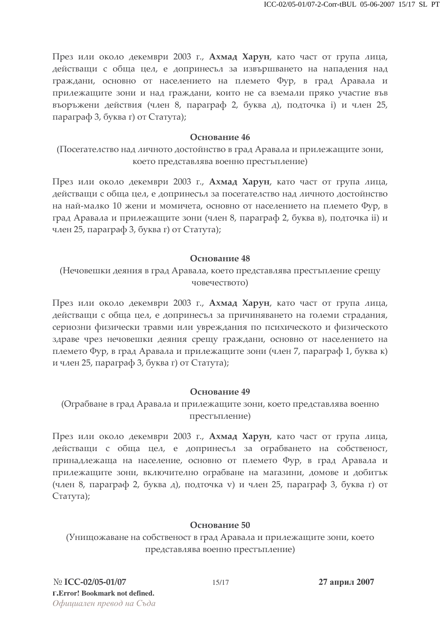През или около декември 2003 г., Ахмад Харун, като част от група лица, действащи с обща цел, е допринесъл за извършването на нападения над граждани, основно от населението на племето Фур, в град Аравала и прилежащите зони и над граждани, които не са вземали пряко участие във въоръжени действия (член 8, параграф 2, буква д), подточка i) и член 25, параграф 3, буква г) от Статута);

#### Основание 46

(Посегателство над личното достойнство в град Аравала и прилежащите зони, което представлява военно престъпление)

През или около декември 2003 г., Ахмад Харун, като част от група лица, действащи с обща цел, е допринесъл за посегателство над личното достойнство на най-малко 10 жени и момичета, основно от населението на племето Фур, в град Аравала и прилежащите зони (член 8, параграф 2, буква в), подточка ii) и член 25, параграф 3, буква г) от Статута);

#### Основание 48

(Нечовешки деяния в град Аравала, което представлява престъпление срещу човечеството)

През или около декември 2003 г., Ахмад Харун, като част от група лица, действащи с обща цел, е допринесъл за причиняването на големи страдания, сериозни физически травми или увреждания по психическото и физическото здраве чрез нечовешки деяния срещу граждани, основно от населението на племето Фур, в град Аравала и прилежащите зони (член 7, параграф 1, буква к) и член 25, параграф 3, буква г) от Статута);

#### Основание 49

(Ограбване в град Аравала и прилежащите зони, което представлява военно престъпление)

През или около декември 2003 г., Ахмад Харун, като част от група лица, действащи с обща цел, е допринесьл за ограбването на собственост, принадлежаща на население, основно от племето Фур, в град Аравала и прилежащите зони, включително ограбване на магазини, домове и добитък (член 8, параграф 2, буква д), подточка v) и член 25, параграф 3, буква г) от Статута);

## Основание 50

(Унищожаване на собственост в град Аравала и прилежащите зони, което представлява военно престъпление)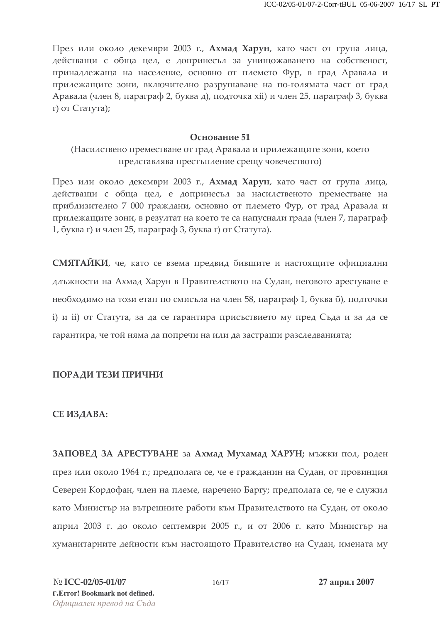През или около декември 2003 г., Ахмад Харун, като част от група лица, действащи с обща цел, е допринесъл за унищожаването на собственост, принадлежаща на население, основно от племето Фур, в град Аравала и прилежащите зони, включително разрушаване на по-голямата част от град Аравала (член 8, параграф 2, буква д), подточка хіі) и член 25, параграф 3, буква г) от Статута);

#### Основание 51

(Насилствено преместване от град Аравала и прилежащите зони, което представлява престъпление срещу човечеството)

През или около декември 2003 г., Ахмад Харун, като част от група лица, действащи с обща цел, е допринесъл за насилственото преместване на приблизително 7 000 граждани, основно от племето Фур, от град Аравала и прилежащите зони, в резултат на което те са напуснали града (член 7, параграф 1, буква г) и член 25, параграф 3, буква г) от Статута).

СМЯТАЙКИ, че, като се взема предвид бившите и настоящите официални длъжности на Ахмад Харун в Правителството на Судан, неговото арестуване е необходимо на този етап по смисъла на член 58, параграф 1, буква б), подточки і) и ії) от Статута, за да се гарантира присъствието му пред Съда и за да се гарантира, че той няма да попречи на или да застраши разследванията;

## ПОРАДИ ТЕЗИ ПРИЧНИ

#### СЕ ИЗДАВА:

ЗАПОВЕД ЗА АРЕСТУВАНЕ за Ахмад Мухамад ХАРУН; мъжки пол, роден през или около 1964 г.; предполага се, че е гражданин на Судан, от провинция Северен Кордофан, член на племе, наречено Баргу; предполага се, че е служил като Министър на вътрешните работи към Правителството на Судан, от около април 2003 г. до около септември 2005 г., и от 2006 г. като Министър на хуманитарните дейности към настоящото Правителство на Судан, имената му